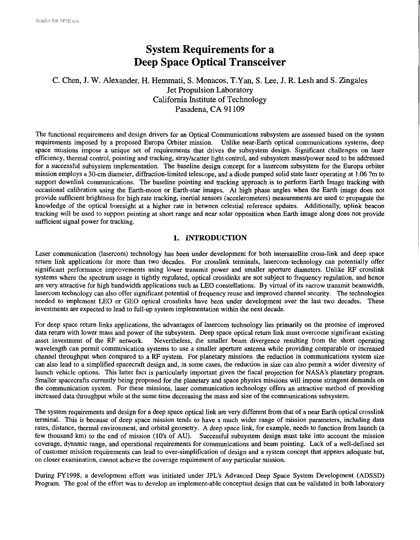# **System Requirements for a Deep Space Optical Transceiver**

## C. Chen, J. **W.** Alexander, H. Hemmati, S. Monacos, T.Yan, S. Lee, J. **R.** Lesh and S. Zingales Jet Propulsion Laboratory California Institute of Technology Pasadena, CA 91109

The functional requirements and design drivers for an Optical Communications subsystem are assessed based on the system requirements imposed by a proposed Europa Orbiter mission. Unlike near-Earth optical communications systems, deep space missions impose a unique set of requirements that drives the subsystem design. Significant challenges on laser efficiency, thermal control, pointing and tracking, stray/scatter light control, and subsystem mass/power need to be addressed for a successful subsystem implementation. The baseline design concept for a lasercom subsystem for the Europa orbiter mission employs a 30-cm diameter, diffraction-limited telescope, and a diode pumped solid state laser operating at **1.06** ?m to support downlink communications. The baseline pointing and tracking approach is to perform Earth Image tracking with occasional calibration using the Earth-moon or Earth-star images. At high phase angles when the Earth image does not provide sufficient brightness for high rate tracking, inertial sensors (accelerometers) measurements are used to propagate the knowledge of the optical boresight at a higher rate in between celestial reference updates. Additionally, uplink beacon tracking will be used to support pointing at short range and near solar opposition when Earth image along does not provide sufficient signal power for tracking.

## **1. INTRODUCTION**

Laser communication (lasercom) technology has been under development for both intersatellite cross-link and deep space return link applications for more than two decades. For crosslink terminals, lasercom-technology can potentially offer significant performance improvements using lower transmit power and smaller aperture diameters. Unlike RF crosslink systems where the spectrum usage is tightly regulated, optical crosslinks are not subject to frequency regulation, and hence are very attractive for high bandwidth applications such as LEO constellations. By virtual of its narrow transmit beamwidth, lasercom technology can also offer significant potential of frequency reuse and improved channel security. The technologies needed to implement LEO or GEO optical crosslinks have been under development over the last two decades. These investments are expected to lead to full-up system implementation within the next decade.

For deep space return links applications, the advantages of lasercom technology lies primarily on the promise of improved data return with lower mass and power of the subsystem. Deep space optical return link must overcome significant existing asset investment of the RF network. Nevertheless, the smaller beam divergence resulting from the sho Nevertheless, the smaller beam divergence resulting from the short operating wavelength can permit communication systems to use a smaller aperture antenna while providing comparable or increased channel throughput when compared to a RF system. For planetary missions, the reduction in communications system size can also lead to a simplified spacecraft design and, in some cases, the reduction in size can also permit a wider diversity of launch vehicle options. This latter fact is particularly important given the fiscal projection for NASA's planetary program. Smaller spacecrafts currently being proposed for the planetary and space physics missions will impose stringent demands on the communication system. For these missions, laser communication technology offers an attractive method of providing increased data throughput while at the same time decreasing the mass and size of the communications subsystem.

The system requirements and design for a deep space optical link are very different from that of a near Earth optical crosslink terminal. This is because of deep space mission tends to have a much wider range of mission parameters, including data rates, distance, thermal environment, and orbital geometry. A deep space link, for example, needs to function from launch (a few thousand km) to the end of mission **(10's** of AU). Successful subsystem design must take into account the mission coverage, dynamic range, and operational requirements for communications and beam pointing. Lack of a well-defined set of customer mission requirements can lead to over-simplification of design and a system concept that appears adequate but, on closer examination, cannot achieve the coverage requirement of any particular mission.

During FY1998, a development effort was initiated under **JPL's** Advanced Deep Space System Development (ADSSD) Program. The goal of the effort was to develop an implement-able conceptual design that can be validated in both laboratory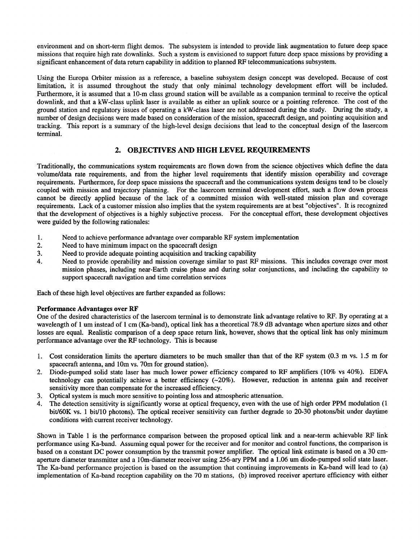environment and on short-term flight demos. The subsystem is intended to provide link augmentation to future deep space missions that require high rate downlinks. Such a system is envisioned to support future deep space missions by providing a significant enhancement of data return capability in addition to planned RF telecommunications subsystem.

Using the Europa Orbiter mission as a reference, a baseline subsystem design concept was developed. Because of cost limitation, it is assumed throughout the study that only minimal technology development effort will be included. Furthermore, it is assumed that a 10-m class ground station will be available as a companion terminal to receive the optical downlink, and that a kW-class uplink laser is available as either an uplink source or a pointing reference. The cost of the ground station and regulatory issues of operating a kW-class laser are not addressed during the study. During the study, a number of design decisions were made based on consideration of the mission, spacecraft design, and pointing acquisition and tracking. This report is a summary of the high-level design decisions that lead to the conceptual design of the lasercom terminal.

## **2. OBJECTIVES AND HIGH LEVEL REQUIREMENTS**

Traditionally, the communications system requirements are flown down from the science objectives which define the data volume/data rate requirements, and from the higher level requirements that identify mission operability and coverage requirements. Furthermore, for deep space missions the spacecraft and the communications system designs tend to be closely coupled with mission and trajectory planning. For the lasercom terminal development effort, such a flow down process cannot be directly applied because of the lack of a committed mission with well-stated mission plan and coverage requirements. Lack of a customer mission also implies that the system requirements are at best "objectives". It is recognized that the development of objectives is a highly subjective process. For the conceptual effort, these development objectives were guided by the following rationales:

- **1.** Need to achieve performance advantage over comparable RF system implementation
- 2. Need to have minimum impact on the spacecraft design
- 3. Need to provide adequate pointing acquisition and tracking capability
- **4.** Need to provide operability and mission coverage similar to past RF missions. This includes coverage over most mission phases, including near-Earth cruise phase and during solar conjunctions, and including the capability to support spacecraft navigation and time correlation services

Each of these high level objectives are further expanded as follows:

### **Performance Advantages over RF**

One of the desired characteristics of the lasercom terminal is to demonstrate link advantage relative to RF. By operating at a wavelength of **1** um instead of **1** cm (Ka-band), optical link has a theoretical 78.9 dB advantage when aperture sizes and other losses are equal. Realistic comparison of a deep space return link, however, shows that the optical link has only minimum performance advantage over the RF technology. This is because

- 1. **Cost** consideration limits the aperture diameters to be much smaller than that of the RF system (0.3 m vs. **1.5** m for spacecraft antenna, and 10m vs. 70m for ground station).
- 2. Diode-pumped solid state laser has much lower power efficiency compared to RF amplifiers (10% vs **40%).** EDFA technology can potentially achieve a better efficiency (~20%). However, reduction in antenna gain and receiver sensitivity more than compensate for the increased efficiency.
- 3. Optical system is much more sensitive to pointing loss and atmospheric attenuation.
- **4.** The detection sensitivity is significantly worse at optical frequency, even with the use of high order PPM modulation (1 bit/60K vs. **1** bit/l0 photons). The optical receiver sensitivity can further degrade to 20-30 photonsbit under daytime conditions with current receiver technology.

Shown in [Table](#page-2-0) **1** is the performance comparison between the proposed optical link and a near-term achievable RF link performance using Ka-band. Assuming equal power for the receiver and for monitor and control functions, the comparison is based on a constant DC power consumption by the transmit power amplifier. The optical link estimate is based on a 30 cmaperture diameter transmitter and a l0m-diameter receiver using 256-ary PPM and a **1.06** um diode-pumped solid state laser. The Ka-band performance projection is based on the assumption that continuing improvements in Ka-band will lead to (a) implementation of Ka-band reception capability on the 70 m stations, (b) improved receiver aperture efficiency with either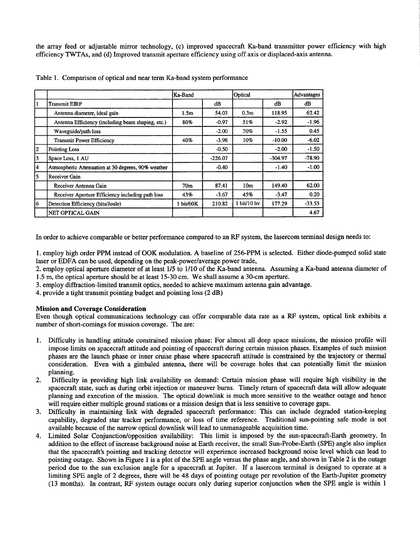<span id="page-2-0"></span>the array feed or adjustable mirror technology, (c) improved spacecraft Ka-band transmitter power efficiency with high efficiency **TWTAs,** and (d) Improved transmit aperture efficiency using off axis or displaced-axis antenna.

|    |                                                    | Ka-Band          |           | Optical          |           | Advantages |
|----|----------------------------------------------------|------------------|-----------|------------------|-----------|------------|
| 11 | <b>Transmit EIRP</b>                               |                  | dВ        |                  | dВ        | dB         |
|    | Antenna diameter, ideal gain                       | 1.5 <sub>m</sub> | 54.03     | 0.3 <sub>m</sub> | 118.95    | 62.42      |
|    | Antenna Efficiency (including beam shaping, etc.)  | 80%              | $-0.97$   | 51%              | $-2.92$   | $-1.96$    |
|    | Waveguide/path loss                                |                  | $-2.00$   | 70%              | $-1.55$   | 0.45       |
|    | <b>Transmit Power Efficiency</b>                   | 40%              | $-3.98$   | 10%              | $-10.00$  | $-6.02$    |
| 12 | <b>Pointing Loss</b>                               |                  | $-0.50$   |                  | $-2.00$   | $-1.50$    |
| 3  | Space Loss, 1 AU                                   |                  | $-226.07$ |                  | $-304.97$ | $-78.90$   |
| 14 | Atmospheric Attenuation at 30 degrees, 90% weather |                  | $-0.40$   |                  | $-1.40$   | $-1.00$    |
| l5 | Receiver Gain                                      |                  |           |                  |           |            |
|    | Receiver Antenna Gain                              | 70m              | 87.41     | 10 <sub>m</sub>  | 149.40    | 62.00      |
|    | Receiver Aperture Efficiency including path loss   | 43%              | $-3.67$   | 45%              | $-3.47$   | 0.20       |
| l6 | Detection Efficiency (bits/Joule)                  | 1 bit/60K        | 210.82    | 1 bit/10 hv      | 177.29    | $-33.53$   |
|    | NET OPTICAL GAIN                                   |                  |           |                  |           | 4.67       |

Table **1.** Comparison of optical and near term Ka-band system performance

In order to achieve comparable or better performance compared to an RF system, the lasercom terminal design needs to:

**1.** employ high order PPM instead of OOK modulation. A baseline of 256-PPM is selected. Either diode-pumped solid state laser or EDFA can be used, depending on the peak-power/average power trade,

2. employ optical aperture diameter of at least 1/5 to **1/10** of the Ka-band antenna. Assuming a Ka-band antenna diameter of **1.5** m, the optical aperture should be at least 15-30 cm. We shall assume a 30-cm aperture.

3. employ diffraction-limited transmit optics, needed to achieve maximum antenna gain advantage.

4. provide a tight transmit pointing budget and pointing loss (2 dB)

#### **Mission and Coverage Consideration**

Even though optical communications technology can offer comparable data rate as a RF system, optical link exhibits a number of short-comings for mission coverage. The are:

- **1.**  Difficulty in handling attitude constrained mission phase: For almost all deep space missions, the mission profile will impose limits on spacecraft attitude and pointing of spacecraft during certain mission phases. Examples of such mission phases are the launch phase or inner cruise phase where spacecraft attitude is constrained by the trajectory or thermal consideration. Even with a gimbaled antenna, there will be coverage holes that can potentially limit the mission planning.
- 2. Difficulty in providing high link availability on demand: Certain mission phase will require high visibility in the spacecraft state, such as during orbit injection or maneuver burns. Timely return of spacecraft data will allow adequate planning and execution of the mission. The optical downlink is much more sensitive to the weather outage and hence will require either multiple ground stations or a mission design that is less sensitive to coverage gaps.
- **3.**  Difficulty in maintaining link with degraded spacecraft performance: This can include degraded station-keeping capability, degraded star tracker performance, or loss of time reference. Traditional sun-pointing safe mode is not available because of the narrow optical downlink will lead to unmanageable acquisition time.
- 4. Limited Solar Conjunction/opposition availability: This limit is imposed by the sun-spacecraft-Earth geometry. In addition to the effect of increase background noise at Earth receiver, the small Sun-Probe-Earth (SPE) angle also implies that the spacecraft's pointing and tracking detector will experience increased background noise level which can lead to pointing outage. Shown in Figure **1** is a plot of the SPE angle versus the phase angle, and shown in [Table 2](#page-3-0) is the outage period due to the sun exclusion angle for a spacecraft at Jupiter. If a lasercom terminal is designed to operate at a limiting SPE angle of 2 degrees, there will be **48** days of pointing outage per revolution of the Earth-Jupiter geometry (13 months). In contrast, RF system outage occurs only during superior conjunction when the SPE angle is within **1**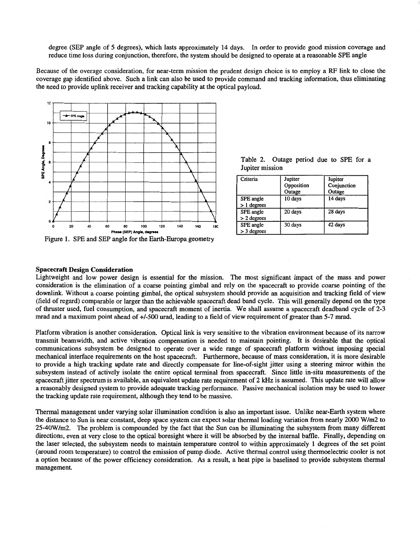<span id="page-3-0"></span>degree (SEP angle of **5** degrees), which lasts approximately 14 days. In order to provide good mission coverage and reduce time loss during conjunction, therefore, the system should be designed to operate at a reasonable SPE angle

Because of the overage consideration, for near-term mission the prudent design choice is to employ a RF link to close the coverage gap identified above. Such a link can also be used to provide command and tracking information, thus eliminating the need to provide uplink receiver and tracking capability at the optical payload.



Figure 1. SPE and SEP angle for the Earth-Europa geometry



| Criteria                   | Jupiter<br>Opposition<br>Outage | Jupiter<br>Conjunction<br>Outage |
|----------------------------|---------------------------------|----------------------------------|
| SPE angle<br>$> 1$ degrees | 10 days                         | 14 days                          |
| SPE angle<br>$> 2$ degrees | 20 days                         | 28 days                          |
| SPE angle<br>$>$ 3 degrees | 30 days                         | 42 days                          |

#### **Spacecraft Design Consideration**

Lightweight and low power design is essential for the mission. The most significant impact of the mass and power consideration is the elimination of a coarse pointing gimbal and rely on the spacecraft to provide coarse pointing of the downlink. Without a coarse pointing gimbal, the optical subsystem should provide an acquisition and tracking field of view (field of regard) comparable or larger than the achievable spacecraft dead band cycle. This will generally depend on the type of thruster used, fuel consumption, and spacecraft moment of inertia. We shall assume a spacecraft deadband cycle of 2-3 mrad and a maximum point ahead of **+/-5OO** urad, leading to a field of view requirement of greater than **5-7** mrad.

Platform vibration is another consideration. Optical link is very sensitive to the vibration environment because of its narrow transmit beamwidth, and active vibration compensation is needed to maintain pointing. It is desirable that the optical communications subsystem be designed to operate over a wide range of spacecraft platform without imposing special mechanical interface requirements on the host spacecraft. Furthermore, because of mass consideration, it is more desirable to provide a high tracking update rate and directly compensate for line-of-sight jitter using a steering mirror within the subsystem instead of actively isolate the entire optical terminal from spacecraft. Since little in-situ measurements of the spacecraft jitter spectrum is available, an equivalent update rate requirement of 2 **kHz** is assumed. This update rate will allow a reasonably designed system to provide adequate tracking performance. Passive mechanical isolation may be used to lower the tracking update rate requirement, although they tend to be massive.

Thermal management under varying solar illumination condition is also an important issue. Unlike near-Earth system where the distance to Sun is near constant, deep space system can expect solar thermal loading variation from nearly 2000 W/m2 to 25-40W/m2. The problem is compounded by the fact that the Sun can be illuminating the subsystem from many different directions, even at very close to the optical boresight where it will be absorbed by the internal baffle. Finally, depending on the laser selected, the subsystem needs to maintain temperature control to within approximately 1 degrees of the set point (around room temperature) to control the emission of pump diode. Active thermal control using thermoelectric cooler is not a option because of the power efficiency consideration. **As** a result, a heat pipe is baselined to provide subsystem thermal management.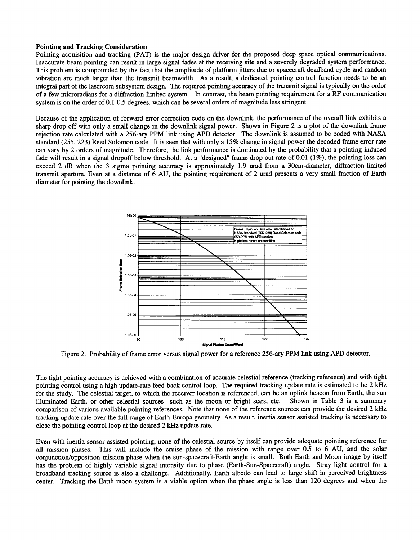#### **Pointing and Tracking Consideration**

Pointing acquisition and tracking (PAT) is the major design driver for the proposed deep space optical communications. Inaccurate beam pointing can result in large signal fades at the receiving site and a severely degraded system performance. This problem is compounded by the fact that the amplitude of platform jitters due to spacecraft deadband cycle and random vibration are much larger than the transmit beamwidth. As a result, a dedicated pointing control function needs to be an integral part of the lasercom subsystem design. The required pointing accuracy of the transmit signal is typically on the order of a few microradians for a diffraction-limited system. In contrast, the beam pointing requirement for a RF communication system is on the order of 0.1-0.5 degrees, which can be several orders of magnitude less stringent

Because of the application of forward error correction code on the downlink, the performance of the overall link exhibits a sharp drop off with only a small change in the downlink signal power. Shown in Figure 2 is a plot of the downlink frame rejection rate calculated with a 256-ary PPM link using APD detector. The downlink is assumed to be coded with NASA standard (255,223) Reed Solomon code. It is seen that with only a **15%** change in signal power the decoded frame error rate can vary by 2 orders of magnitude. Therefore, the link performance is dominated by the probability that a pointing-induced fade will result in a signal dropoff below threshold. At a "designed" frame drop out rate of 0.01 **(l%),** the pointing **loss** can exceed 2 dB when the 3 sigma pointing accuracy is approximately 1.9 urad from a 30cm-diameter, diffraction-limited transmit aperture. Even at a distance of 6 AU, the pointing requirement of 2 urad presents a very small fraction of Earth diameter for pointing the downlink.



Figure 2. Probability of frame error versus signal power for a reference 256-ary PPM link using APD detector.

The tight pointing accuracy is achieved with a combination of accurate celestial reference (tracking reference) and with tight pointing control using a high update-rate feed back control loop. The required tracking update rate is estimated to be 2 **kHz**  for the study. The celestial target, to which the receiver location is referenced, can be an uplink beacon from Earth, the sun illuminated Earth, or other celestial sources such as the moon or bright stars, etc. Shown in [Table 3](#page-5-0) is a summary comparison of various available pointing references. Note that none of the reference sources can provide the desired **2 kHz**  tracking update rate over the full range of Earth-Europa geometry. As a result, inertia sensor assisted tracking is necessary to close the pointing control loop at the desired 2 **kHz** update rate.

Even with inertia-sensor assisted pointing, none of the celestial source by itself can provide adequate pointing reference for all mission phases. This will include the cruise phase of the mission with range over 0.5 to **6** AU, and the solar conjunction/opposition mission phase when the sun-spacecraft-Earth angle is small. Both Earth and Moon image by itself has the problem of highly variable signal intensity due to phase (Earth-Sun-Spacecraft) angle. Stray light control for a broadband tracking source is also a challenge. Additionally, Earth albedo can lead to large shift in perceived brightness center. Tracking the Earth-moon system is a viable option when the phase angle is less than 120 degrees and when the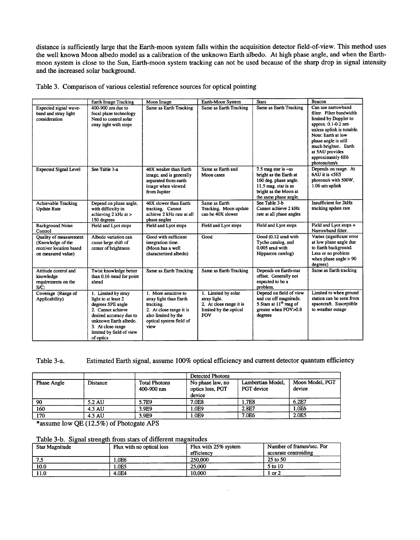<span id="page-5-0"></span>distance is sufficiently large that the Earth-moon system falls within the acquisition detector field-of-view. This method uses the well known Moon albedo model as a calibration of the unknown Earth albedo. At high phase angle, and when the Earthmoon system is close to the Sun, Earth-moon system tracking can not be used because of the sharp drop in signal intensity and the increased solar background.

Table 3. Comparison of **various** celestial reference sources for optical pointing

|                                                                                              | <b>Earth Image Tracking</b>                                                                                                                                                                            | Moon Image                                                                                                                                       | Earth-Moon System                                                                                      | <b>Stars</b>                                                                                                                                     | Beacon                                                                                                                                                                                                                                                  |
|----------------------------------------------------------------------------------------------|--------------------------------------------------------------------------------------------------------------------------------------------------------------------------------------------------------|--------------------------------------------------------------------------------------------------------------------------------------------------|--------------------------------------------------------------------------------------------------------|--------------------------------------------------------------------------------------------------------------------------------------------------|---------------------------------------------------------------------------------------------------------------------------------------------------------------------------------------------------------------------------------------------------------|
| Expected signal wave-<br>band and stray light<br>consideration                               | 400-900 nm due to<br>focal plane technology<br>Need to control solar<br>stray light with stops                                                                                                         | Same as Earth Tracking                                                                                                                           | Same as Earth Tracking                                                                                 | Same as Earth Tracking                                                                                                                           | Can use narrowband<br>filter. Filter bandwidth<br>limited by Doppler to<br>approx. 0.1-0.2 nm<br>unless uplink is tunable.<br>Note: Earth at low<br>phase angle is still<br>much brighter Earth<br>at 5AU provides<br>approximately 6E6<br>photons/nm/s |
| <b>Expected Signal Level</b>                                                                 | See Table 3-a                                                                                                                                                                                          | 40X weaker than Earth<br>image, and is generally<br>separated from earth<br>image when viewed<br>from Jupiter                                    | Same as Earth and<br>Moon cases                                                                        | 7.5 mag star is ~as<br>bright as the Earth at<br>160 deg. phase angle.<br>11.5 mag. star is as<br>bright as the Moon at<br>the same phase angle. | Depends on range. At<br>6AU it is <5E5<br>photons/s with 500W,<br>1.06 um uplink                                                                                                                                                                        |
| <b>Achievable Tracking</b><br><b>Update Rate</b>                                             | Depend on phase angle,<br>with difficulty in<br>achieving $2$ kHz at $>$<br>150 degrees                                                                                                                | 40X slower than Earth<br>tracking. Cannot<br>achieve 2 kHz rate at all<br>phase angles                                                           | Same as Earth<br>Tracking. Moon update<br>can be 40X slower                                            | See Table 3-b<br>Cannot achieve 2 kHz<br>rate at all phase angles                                                                                | Insufficient for 2kHz<br>tracking update rate                                                                                                                                                                                                           |
| <b>Background Noise</b><br>Control                                                           | Field and Lyot stops                                                                                                                                                                                   | Field and Lyot stops                                                                                                                             | Field and Lyot stops                                                                                   | Field and Lyot stops                                                                                                                             | Field and Lyot stops +<br>Narrowband filter.                                                                                                                                                                                                            |
| Quality of measurement<br>(Knowledge of the<br>receiver location based<br>on measured value) | Albedo variation can<br>cause large shift of<br>center of brightness                                                                                                                                   | Good with sufficient<br>integration time.<br>(Moon has a well<br>characterized albedo)                                                           | Good                                                                                                   | Good (0.12 urad with<br>Tycho catalog, and<br>0.005 urad with<br>Hipparcos catelog)                                                              | Varies (significant error<br>at low phase angle due<br>to Earth background.<br>Less or no problem<br>when phase angle $> 90$<br>degrees)                                                                                                                |
| Attitude control and<br>knowledge<br>requirements on the<br>S/C:                             | Twist knowledge better<br>than 0.16 mrad for point<br>ahead                                                                                                                                            | Same as Earth Tracking                                                                                                                           | Same as Earth Tracking                                                                                 | Depends on Earth-star<br>offset. Generally not<br>expected to be a<br>problem.                                                                   | Same as Earth tracking                                                                                                                                                                                                                                  |
| Coverage (Range of<br>Applicability)                                                         | 1. Limited by stray<br>light to at least 2<br>degrees SPE angle<br>2. Cannot achieve<br>desired accuracy due to<br>unknown Earth albedo.<br>3. At close range<br>limited by field of view<br>of optics | 1. More sensitive to<br>stray light than Earth<br>tracking.<br>2. At close range it is<br>also limited by the<br>optical system field of<br>view | 1. Limited by solar<br>stray light.<br>2. At close range it is<br>limited by the optical<br><b>FOV</b> | Depend on field of view<br>and cut off magnitude.<br>5 Stars at 11 <sup>th</sup> mag of<br>greater when FOV>0.8<br>degrees                       | Limited to when ground<br>station can be seen from<br>spacecraft. Susceptible<br>to weather outage                                                                                                                                                      |

Table 3-a. Estimated Earth signal, assume 100% optical efficiency and current detector quantum efficiency

|                    |          |                                    | <b>Detected Photons</b>                        |                                 |                           |
|--------------------|----------|------------------------------------|------------------------------------------------|---------------------------------|---------------------------|
| <b>Phase Angle</b> | Distance | <b>Total Photons</b><br>400-900 nm | No phase law, no<br>optics loss, PGT<br>device | Lambertian Model.<br>PGT device | Moon Model, PGT<br>device |
| 90                 | 5.2 AU   | 5.7E9                              | 7.0E8                                          | 1.7E8                           | 6.2E7                     |
| 160                | 4.3 AU   | 3.9E9                              | 1.0E9                                          | 2.8E7                           | 1.0E6                     |
| 170                | 4.3 AU   | 3.9E9                              | 1.0E9                                          | 7.0E6                           | 2.0E5                     |

\*assume low QE **(12.5%)** of Photogate **APS** 

#### Table 3-b. Signal strength from stars of different magnitudes

| Star Magnitude | Flux with no optical loss | Flux with 25% system | Number of frames/sec. For |
|----------------|---------------------------|----------------------|---------------------------|
|                |                           | efficiency           | accurate centroiding      |
| 7.5            | .0E6                      | 250,000              | 25 to 50                  |
| 10.0           | .0E5                      | 25,000               | 5 to 10                   |
| 11.0           | 4.0E4                     | 10.000               | or $2$                    |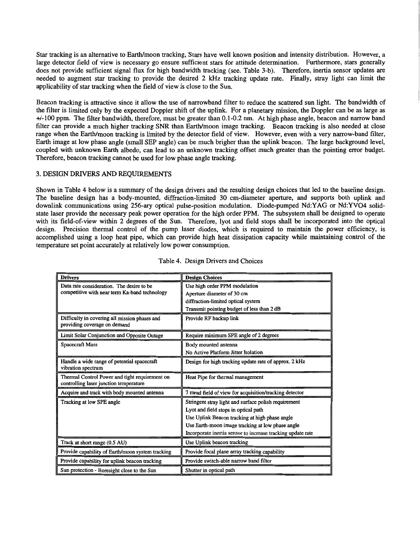<span id="page-6-0"></span>Star tracking is an alternative to Earth/moon tracking, Stars have well known position and intensity distribution. However, a large detector field of view is necessary go ensure sufficient stars for attitude determination. Furthermore, stars generally does not provide sufficient signal **flux** for high bandwidth tracking (see. Table 3-b). Therefore, inertia sensor updates are needed to augment star tracking to provide the desired 2 **kHz** tracking update rate. Finally, stray light can limit the applicability of star tracking when the field of view is close to the **Sun.** 

Beacon tracking is attractive since it allow the use of narrowband filter to reduce the scattered sun light. The bandwidth of the filter is limited only by the expected Doppler shift of the uplink. For a planetary mission, the Doppler can be as large as +/-lo0 ppm. The filter bandwidth, therefore, must be greater than 0.1-0.2 nm. At high phase angle, beacon and narrow band filter can provide a much higher tracking SNR than Earth/moon image tracking. Beacon tracking is also needed at close range when the Earth/moon tracking is limited by the detector field of view. However, even with a very narrow-band filter, Earth image at low phase angle (small SEP angle) can be much brigher than the uplink beacon. The large background level, coupled with unknown Earth albedo, can lead to an unknown tracking offset much greater than the pointing error budget. Therefore, beacon tracking cannot be used for low phase angle tracking.

#### **3.** DESIGN DRIVERS AND REQUIREMENTS

Shown in Table 4 below is a summary of the design drivers and the resulting design choices that led to the baseline design. The baseline design has a body-mounted, diffraction-limited *30* cm-diameter aperture, and supports both uplink and downlink communications using 256-ary optical pulse-position modulation. Diode-pumped Nd:YAG or Nd:YVO4 solidstate laser provide the necessary peak power operation for the high order PPM. The subsystem shall be designed to operate with its field-of-view within 2 degrees of the Sun. Therefore, lyot and field stops shall be incorporated into the optical design. Precision thermal control of the pump laser diodes, which is required to maintain the power efficiency, is accomplished using a loop heat pipe, which can provide high heat dissipation capacity while maintaining control of the temperature set point accurately at relatively low power consumption.

| <b>Drivers</b>                                                                             | <b>Design Choices</b>                                                                                                                                                                                                                                             |
|--------------------------------------------------------------------------------------------|-------------------------------------------------------------------------------------------------------------------------------------------------------------------------------------------------------------------------------------------------------------------|
| Data rate consideration. The desire to be<br>competitive with near term Ka-band technology | Use high order PPM modulation<br>Aperture diameter of 30 cm<br>diffraction-limited optical system<br>Transmit pointing budget of less than 2 dB                                                                                                                   |
| Difficulty in covering all mission phases and<br>providing coverage on demand              | Provide RF backup link                                                                                                                                                                                                                                            |
| Limit Solar Conjunction and Opposite Outage                                                | Require minimum SPE angle of 2 degrees                                                                                                                                                                                                                            |
| Spacecraft Mass                                                                            | Body mounted antenna<br>No Active Platform Jitter Isolation                                                                                                                                                                                                       |
| Handle a wide range of potential spacecraft<br>vibration spectrum                          | Design for high tracking update rate of approx. 2 kHz                                                                                                                                                                                                             |
| Thermal Control Power and tight requirement on<br>controlling laser junction temperature   | Heat Pipe for thermal management                                                                                                                                                                                                                                  |
| Acquire and track with body mounted antenna                                                | 7 mrad field of view for acquisition/tracking detector                                                                                                                                                                                                            |
| Tracking at low SPE angle                                                                  | Stringent stray light and surface polish requirement<br>Lyot and field stops in optical path<br>Use Uplink Beacon tracking at high phase angle<br>Use Earth-moon image tracking at low phase angle<br>Incorporate inertia sensor to increase tracking update rate |
| Track at short range (0.5 AU)                                                              | Use Uplink beacon tracking                                                                                                                                                                                                                                        |
| Provide capability of Earth/moon system tracking                                           | Provide focal plane array tracking capability                                                                                                                                                                                                                     |
| Provide capability for uplink beacon tracking                                              | Provide switch-able narrow band filter                                                                                                                                                                                                                            |
| Sun protection - Boresight close to the Sun                                                | Shutter in optical path                                                                                                                                                                                                                                           |

| Table 4. Design Drivers and Choices |  |  |  |  |
|-------------------------------------|--|--|--|--|
|-------------------------------------|--|--|--|--|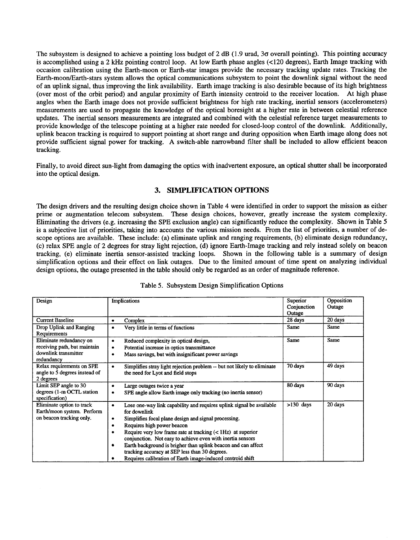The subsystem is designed to achieve a pointing loss budget of **2** dB **(1.9** urad, **30** overall pointing). This pointing accuracy is accomplished using a **2 kHz** pointing control loop. At low Earth phase angles **(e120** degrees), Earth Image tracking with occasion calibration using the Earth-moon or Earth-star images provide the necessary tracking update rates. Tracking the Earth-moon/Earth-stars system allows the optical communications subsystem to point the downlink signal without the need of an uplink signal, thus improving the link availability. Earth image tracking is also desirable because of its high brightness (over most of the orbit period) and angular proximity of Earth intensity centroid to the receiver location. At high phase angles when the Earth image does not provide sufficient brightness for high rate tracking, inertial sensors (accelerometers) measurements are used to propagate the knowledge of the optical boresight at a higher rate in between celestial reference updates. The inertial sensors measurements are integrated and combined with the celestial reference target measurements to provide knowledge of the telescope pointing at a higher rate needed for closed-loop control of the downlink. Additionally, uplink beacon tracking is required **to** support pointing at short range and during opposition when Earth image along does not provide sufficient signal power for tracking. A switch-able narrowband filter shall be included to allow efficient beacon tracking.

Finally, to avoid direct sun-light from damaging the optics with inadvertent exposure, an optical shutter shall be incorporated into the optical design.

## **3. SIMPLIFICATION OPTIONS**

The design drivers and the resulting design choice shown in [Table](#page-6-0) **4** were identified in order to support the mission as either prime or augmentation telecom subsystem. These design choices, however, greatly increase the system complexity. Eliminating the drivers (e.g. increasing the SPE exclusion angle) can significantly reduce the complexity. Shown in Table **5**  is a subjective list of priorities, taking into accounts the various mission needs. From the list of priorities, a number of descope options are available. These include: (a) eliminate uplink and ranging requirements, (b) eliminate design redundancy, (c) relax SPE angle of **2** degrees for stray light rejection, (d) ignore Earth-Image tracking and rely instead solely on beacon tracking, (e) eliminate inertia sensor-assisted tracking loops. Shown in the following table is a summary of design simplification options and their effect on link outages. Due to the limited amount of time spent on analyzing individual design options, the outage presented in the table should only be regarded as an order of magnitude reference.

| Design                                                                                        | <b>Implications</b>                                                                                                                                                                                                                                                                                                                                                                                                                                                                                                          | Superior<br>Conjunction<br>Outage | Opposition<br>Outage |
|-----------------------------------------------------------------------------------------------|------------------------------------------------------------------------------------------------------------------------------------------------------------------------------------------------------------------------------------------------------------------------------------------------------------------------------------------------------------------------------------------------------------------------------------------------------------------------------------------------------------------------------|-----------------------------------|----------------------|
| <b>Current Baseline</b>                                                                       | Complex<br>٠                                                                                                                                                                                                                                                                                                                                                                                                                                                                                                                 | 28 days                           | 20 days              |
| Drop Uplink and Ranging<br>Requirements                                                       | Very little in terms of functions<br>٠                                                                                                                                                                                                                                                                                                                                                                                                                                                                                       | Same                              | Same                 |
| Eliminate redundancy on<br>receiving path, but maintain<br>downlink transmitter<br>redundancy | Reduced complexity in optical design,<br>۰<br>Potential increase in optics transmittance<br>٠<br>Mass savings, but with insignificant power savings<br>٠                                                                                                                                                                                                                                                                                                                                                                     | Same                              | Same                 |
| Relax requirements on SPE<br>angle to 5 degrees instead of<br>2 degrees                       | Simplifies stray light rejection problem -- but not likely to eliminate<br>$\bullet$<br>the need for Lyot and field stops                                                                                                                                                                                                                                                                                                                                                                                                    | 70 days                           | 49 days              |
| Limit SEP angle to 30<br>degrees (1-m OCTL station<br>specification)                          | Large outages twice a year<br>٠<br>SPE angle allow Earth image only tracking (no inertia sensor)<br>٠                                                                                                                                                                                                                                                                                                                                                                                                                        | 80 days                           | 90 days              |
| Eliminate option to track<br>Earth/moon system. Perform<br>on beacon tracking only.           | Lose one-way link capability and requires uplink signal be available<br>$\bullet$<br>for downlink<br>Simplifies focal plane design and signal processing.<br>٠<br>Requires high power beacon<br>٠<br>Require very low frame rate at tracking $(< 1 Hz)$ at superior<br>٠<br>conjunction. Not easy to achieve even with inertia sensors<br>Earth background is brigher than uplink beacon and can affect<br>٠<br>tracking accuracy at SEP less than 30 degrees.<br>Requires calibration of Earth image-induced centroid shift | $>130$ days                       | 20 days              |

|  |  |  | Table 5. Subsystem Design Simplification Options |  |
|--|--|--|--------------------------------------------------|--|
|--|--|--|--------------------------------------------------|--|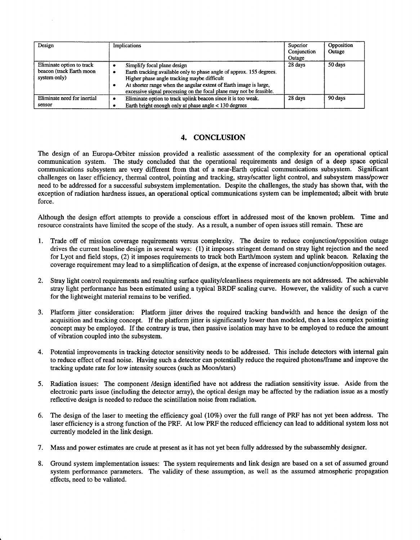| Design                                                                | Implications                                                                                                                                                                                                                                                                                   | Superior<br>Conjunction<br>Outage | Opposition<br>Outage |
|-----------------------------------------------------------------------|------------------------------------------------------------------------------------------------------------------------------------------------------------------------------------------------------------------------------------------------------------------------------------------------|-----------------------------------|----------------------|
| Eliminate option to track<br>beacon (track Earth moon<br>system only) | Simplify focal plane design<br>Earth tracking available only to phase angle of approx. 155 degrees.<br>Higher phase angle tracking maybe difficult<br>At shorter range when the angular extent of Earth image is large,<br>excessive signal processing on the focal plane may not be feasible. | 28 days                           | 50 days              |
| Eliminate need for inertial<br>sensor                                 | Eliminate option to track uplink beacon since it is too weak.<br>Earth bright enough only at phase angle $<$ 130 degrees                                                                                                                                                                       | 28 days                           | 90 days              |

## **4. CONCLUSION**

The design of an Europa-Orbiter mission provided a realistic assessment of the complexity for an operational optical communication system. The study concluded that the operational requirements and design of a deep space optical communications subsystem are very different from that of a near-Earth optical communications subsystem. Significant challenges on laser efficiency, thermal control, pointing and tracking, stray/scatter light control, and subsystem mass/power need to be addressed for a successful subsystem implementation. Despite the challenges, the study has shown that, with the exception of radiation hardness issues, an operational optical communications system can be implemented; albeit with brute force.

Although the design effort attempts to provide a conscious effort in addressed most of the known problem. Time and resource constraints have limited the scope of the study. As a result, a number of open issues still remain. These are

- 1. Trade off of mission coverage requirements versus complexity. The desire to reduce conjunction/opposition outage drives the current baseline design in several ways: **(1)** it imposes stringent demand on stray light rejection and the need for Lyot and field stops, *(2)* it imposes requirements to track both Earth/moon system and uplink beacon. Relaxing the coverage requirement may lead to a simplification of design, at the expense of increased conjunctionlopposition outages.
- *2.*  Stray light control requirements and resulting surface quality/cleanliness requirements are not addressed. The achievable stray light performance has been estimated using a typical BRDF scaling curve. However, the validity of such a curve for the lightweight material remains to be verified.
- **3.**  Platform jitter consideration: Platform jitter drives the required tracking bandwidth and hence the design of the acquisition and tracking concept. If the platform jitter is significantly lower than modeled, then a less complex pointing concept may be employed. If the contrary is true, then passive isolation may have to be employed to reduce the amount of vibration coupled into the subsystem.
- **4.**  Potential improvements in tracking detector sensitivity needs to be addressed. This include detectors with internal gain to reduce effect of read noise. Having such a detector can potentially reduce the required photons/frame and improve the tracking update rate for low intensity sources (such as Moon/stars)
- **5.**  Radiation issues: The component /design identified have not address the radiation sensitivity issue. Aside from the electronic parts issue (including the detector array), the optical design may be affected by the radiation issue as a mostly reflective design is needed to reduce the scintillation noise from radiation.
- **6.**  The design of the laser to meeting the efficiency goal (10%) over the full range of PRF has not yet been address. The laser efficiency is a strong function of the PRF. At low PRF the reduced efficiency can lead to additional system loss not currently modeled in the link design.
- 7. Mass and power estimates are crude at present as it has not yet been fully addressed by the subassembly designer.
- **8.**  Ground system implementation issues: The system requirements and link design are based on a set of assumed ground system performance parameters. The validity of these assumption, as well as the assumed atmospheric propagation effects, need to be valiated.